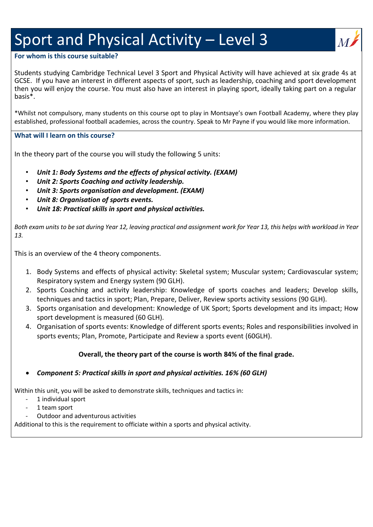# Sport and Physical Activity – Level 3

# **For whom is this course suitable?**

Students studying Cambridge Technical Level 3 Sport and Physical Activity will have achieved at six grade 4s at GCSE. If you have an interest in different aspects of sport, such as leadership, coaching and sport development then you will enjoy the course. You must also have an interest in playing sport, ideally taking part on a regular basis\*.

\*Whilst not compulsory, many students on this course opt to play in Montsaye's own Football Academy, where they play established, professional football academies, across the country. Speak to Mr Payne if you would like more information.

### **What will I learn on this course?**

In the theory part of the course you will study the following 5 units:

- *Unit 1: Body Systems and the effects of physical activity. (EXAM)*
- *Unit 2: Sports Coaching and activity leadership.*
- *Unit 3: Sports organisation and development. (EXAM)*
- *Unit 8: Organisation of sports events.*
- *Unit 18: Practical skills in sport and physical activities.*

Both exam units to be sat during Year 12, leaving practical and assignment work for Year 13, this helps with workload in Year *13.* 

This is an overview of the 4 theory components.

- 1. Body Systems and effects of physical activity: Skeletal system; Muscular system; Cardiovascular system; Respiratory system and Energy system (90 GLH).
- 2. Sports Coaching and activity leadership: Knowledge of sports coaches and leaders; Develop skills, techniques and tactics in sport; Plan, Prepare, Deliver, Review sports activity sessions (90 GLH).
- 3. Sports organisation and development: Knowledge of UK Sport; Sports development and its impact; How sport development is measured (60 GLH).
- 4. Organisation of sports events: Knowledge of different sports events; Roles and responsibilities involved in sports events; Plan, Promote, Participate and Review a sports event (60GLH).

# **Overall, the theory part of the course is worth 84% of the final grade.**

### • *Component 5: Practical skills in sport and physical activities. 16% (60 GLH)*

Within this unit, you will be asked to demonstrate skills, techniques and tactics in:

- 1 individual sport
- 1 team sport
- Outdoor and adventurous activities

Additional to this is the requirement to officiate within a sports and physical activity.